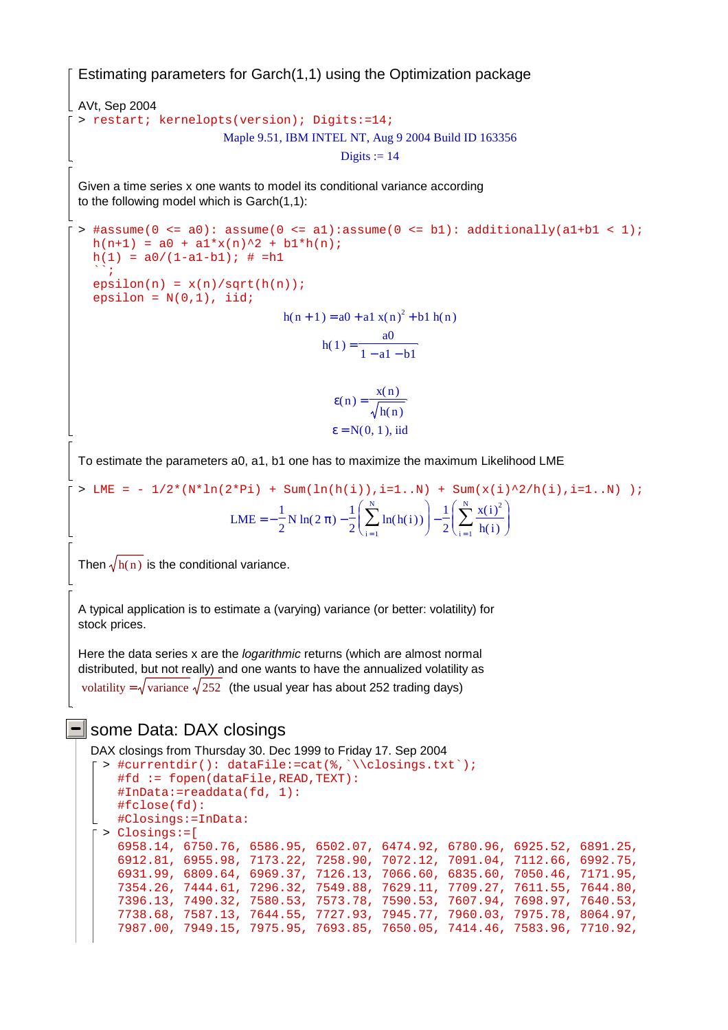Estimating parameters for Garch(1,1) using the Optimization package AVt, Sep 2004 > restart; kernelopts(version); Digits:=14; Maple 9.51, IBM INTEL NT, Aug 9 2004 Build ID 163356 Digits  $:= 14$ Given a time series x one wants to model its conditional variance according to the following model which is Garch(1,1): > #assume(0 <= a0): assume(0 <= a1):assume(0 <= b1): additionally(a1+b1 < 1);  $h(n+1) = a0 + a1*x(n)^2 + b1*h(n);$  $h(1) = a0/(1-a1-b1);$  # =h1  $\sum_{i=1}^{n}$  $epsilon(n) = x(n)/sqrt(h(n));$ epsilon =  $N(0,1)$ , iid;  $h(n + 1) = a0 + a1 x(n)^{2} + b1 h(n)$  $h(1) = \frac{a0}{1}$  $1 - a1 - b1$  $\varepsilon$ (n) =  $\frac{x(n)}{n}$  $h(n)$  $\varepsilon$  = N(0, 1), iid To estimate the parameters a0, a1, b1 one has to maximize the maximum Likelihood LME  $>$  LME = -  $1/2*(N*ln(2*Pi) + Sum(ln(h(i)),i=1..N) + Sum(x(i)^{2}/h(i),i=1..N)$  ); LME =  $-\frac{1}{2}$  N ln(2  $\pi$ )  $-\frac{1}{2}$   $\sum_{n=1}^{\infty}$  ln(h(i))  $\Big|$  - $\frac{1}{2}$  N ln(2  $\pi$ ) –  $\frac{1}{2}$ 2 ſ l  $\overline{\phantom{a}}$  $\backslash$  $\sum_{i=1}^{n} \ln(h(i))$  $i = 1$ N  $\ln(h(i))\left[-\frac{1}{2}\right]$ 2 ſ ∖  $\overline{\phantom{a}}$ Í  $\sum_{i=1}^{n} \frac{x(i)^2}{h(i)}$  $i = 1$  $\sum_{i=1}^{N} x(i)^2$  $h(i)$ Then  $\sqrt{h(n)}$  is the conditional variance. A typical application is to estimate a (varying) variance (or better: volatility) for stock prices. Here the data series x are the *logarithmic* returns (which are almost normal distributed, but not really) and one wants to have the annualized volatility as volatility =  $\sqrt{\text{variance } \sqrt{252}}$  (the usual year has about 252 trading days) **-** some Data: DAX closings DAX closings from Thursday 30. Dec 1999 to Friday 17. Sep 2004 > #currentdir(): dataFile:=cat(%,`\\closings.txt`); #fd := fopen(dataFile,READ,TEXT): #InData:=readdata(fd, 1): #fclose(fd): #Closings:=InData: > Closings:=[

6958.14, 6750.76, 6586.95, 6502.07, 6474.92, 6780.96, 6925.52, 6891.25, 6912.81, 6955.98, 7173.22, 7258.90, 7072.12, 7091.04, 7112.66, 6992.75, 6931.99, 6809.64, 6969.37, 7126.13, 7066.60, 6835.60, 7050.46, 7171.95, 7354.26, 7444.61, 7296.32, 7549.88, 7629.11, 7709.27, 7611.55, 7644.80, 7396.13, 7490.32, 7580.53, 7573.78, 7590.53, 7607.94, 7698.97, 7640.53, 7738.68, 7587.13, 7644.55, 7727.93, 7945.77, 7960.03, 7975.78, 8064.97, 7987.00, 7949.15, 7975.95, 7693.85, 7650.05, 7414.46, 7583.96, 7710.92,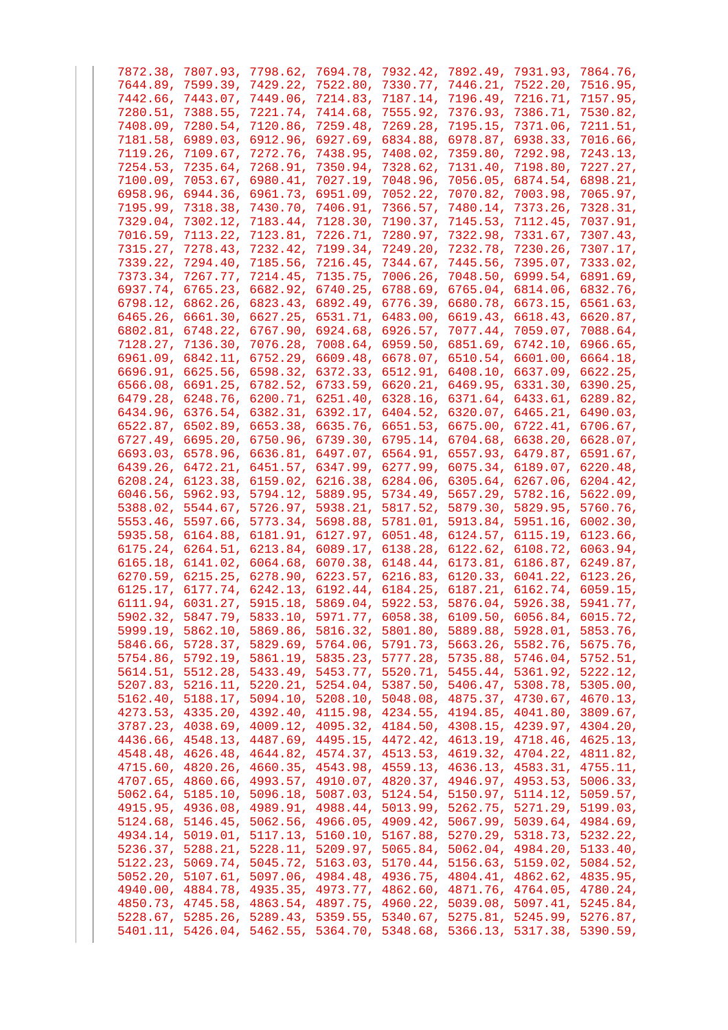| 7872.38, 7807.93, 7798.62, 7694.78, 7932.42, 7892.49, 7931.93, 7864.76, |  |  |  |
|-------------------------------------------------------------------------|--|--|--|
| 7644.89, 7599.39, 7429.22, 7522.80, 7330.77, 7446.21, 7522.20, 7516.95, |  |  |  |
| 7442.66, 7443.07, 7449.06, 7214.83, 7187.14, 7196.49, 7216.71, 7157.95, |  |  |  |
| 7280.51, 7388.55, 7221.74, 7414.68, 7555.92, 7376.93, 7386.71, 7530.82, |  |  |  |
| 7408.09, 7280.54, 7120.86, 7259.48, 7269.28, 7195.15, 7371.06, 7211.51, |  |  |  |
| 7181.58, 6989.03, 6912.96, 6927.69, 6834.88, 6978.87, 6938.33, 7016.66, |  |  |  |
| 7119.26, 7109.67, 7272.76, 7438.95, 7408.02, 7359.80, 7292.98, 7243.13, |  |  |  |
| 7254.53, 7235.64, 7268.91, 7350.94, 7328.62, 7131.40, 7198.80, 7227.27, |  |  |  |
| 7100.09, 7053.67, 6980.41, 7027.19, 7048.96, 7056.05, 6874.54, 6898.21, |  |  |  |
|                                                                         |  |  |  |
| 6958.96, 6944.36, 6961.73, 6951.09, 7052.22, 7070.82, 7003.98, 7065.97, |  |  |  |
| 7195.99, 7318.38, 7430.70, 7406.91, 7366.57, 7480.14, 7373.26, 7328.31, |  |  |  |
| 7329.04, 7302.12, 7183.44, 7128.30, 7190.37, 7145.53, 7112.45, 7037.91, |  |  |  |
| 7016.59, 7113.22, 7123.81, 7226.71, 7280.97, 7322.98, 7331.67, 7307.43, |  |  |  |
| 7315.27, 7278.43, 7232.42, 7199.34, 7249.20, 7232.78, 7230.26, 7307.17, |  |  |  |
| 7339.22, 7294.40, 7185.56, 7216.45, 7344.67, 7445.56, 7395.07, 7333.02, |  |  |  |
| 7373.34, 7267.77, 7214.45, 7135.75, 7006.26, 7048.50, 6999.54, 6891.69, |  |  |  |
| 6937.74, 6765.23, 6682.92, 6740.25, 6788.69, 6765.04, 6814.06, 6832.76, |  |  |  |
| 6798.12, 6862.26, 6823.43, 6892.49, 6776.39, 6680.78, 6673.15, 6561.63, |  |  |  |
| 6465.26, 6661.30, 6627.25, 6531.71, 6483.00, 6619.43, 6618.43, 6620.87, |  |  |  |
| 6802.81, 6748.22, 6767.90, 6924.68, 6926.57, 7077.44, 7059.07, 7088.64, |  |  |  |
| 7128.27, 7136.30, 7076.28, 7008.64, 6959.50, 6851.69, 6742.10, 6966.65, |  |  |  |
| 6961.09, 6842.11, 6752.29, 6609.48, 6678.07, 6510.54, 6601.00, 6664.18, |  |  |  |
| 6696.91, 6625.56, 6598.32, 6372.33, 6512.91, 6408.10, 6637.09, 6622.25, |  |  |  |
| 6566.08, 6691.25, 6782.52, 6733.59, 6620.21, 6469.95, 6331.30, 6390.25, |  |  |  |
| 6479.28, 6248.76, 6200.71, 6251.40, 6328.16, 6371.64, 6433.61, 6289.82, |  |  |  |
| 6434.96, 6376.54, 6382.31, 6392.17, 6404.52, 6320.07, 6465.21, 6490.03, |  |  |  |
| 6522.87, 6502.89, 6653.38, 6635.76, 6651.53, 6675.00, 6722.41, 6706.67, |  |  |  |
| 6727.49, 6695.20, 6750.96, 6739.30, 6795.14, 6704.68, 6638.20, 6628.07, |  |  |  |
|                                                                         |  |  |  |
| 6693.03, 6578.96, 6636.81, 6497.07, 6564.91, 6557.93, 6479.87, 6591.67, |  |  |  |
| 6439.26, 6472.21, 6451.57, 6347.99, 6277.99, 6075.34, 6189.07, 6220.48, |  |  |  |
| 6208.24, 6123.38, 6159.02, 6216.38, 6284.06, 6305.64, 6267.06, 6204.42, |  |  |  |
| 6046.56, 5962.93, 5794.12, 5889.95, 5734.49, 5657.29, 5782.16, 5622.09, |  |  |  |
| 5388.02, 5544.67, 5726.97, 5938.21, 5817.52, 5879.30, 5829.95, 5760.76, |  |  |  |
| 5553.46, 5597.66, 5773.34, 5698.88, 5781.01, 5913.84, 5951.16, 6002.30, |  |  |  |
| 5935.58, 6164.88, 6181.91, 6127.97, 6051.48, 6124.57, 6115.19, 6123.66, |  |  |  |
| 6175.24, 6264.51, 6213.84, 6089.17, 6138.28, 6122.62, 6108.72, 6063.94, |  |  |  |
| 6165.18, 6141.02, 6064.68, 6070.38, 6148.44, 6173.81, 6186.87, 6249.87, |  |  |  |
| 6270.59, 6215.25, 6278.90, 6223.57, 6216.83, 6120.33, 6041.22, 6123.26, |  |  |  |
| 6125.17, 6177.74, 6242.13, 6192.44, 6184.25, 6187.21, 6162.74, 6059.15, |  |  |  |
| 6111.94, 6031.27, 5915.18, 5869.04, 5922.53, 5876.04, 5926.38, 5941.77, |  |  |  |
| 5902.32, 5847.79, 5833.10, 5971.77, 6058.38, 6109.50, 6056.84, 6015.72, |  |  |  |
| 5999.19, 5862.10, 5869.86, 5816.32, 5801.80, 5889.88, 5928.01, 5853.76, |  |  |  |
| 5846.66, 5728.37, 5829.69, 5764.06, 5791.73, 5663.26, 5582.76, 5675.76, |  |  |  |
| 5754.86, 5792.19, 5861.19, 5835.23, 5777.28, 5735.88, 5746.04, 5752.51, |  |  |  |
| 5614.51, 5512.28, 5433.49, 5453.77, 5520.71, 5455.44, 5361.92, 5222.12, |  |  |  |
| 5207.83, 5216.11, 5220.21, 5254.04, 5387.50, 5406.47, 5308.78, 5305.00, |  |  |  |
| 5162.40, 5188.17, 5094.10, 5208.10, 5048.08, 4875.37, 4730.67, 4670.13, |  |  |  |
| 4273.53, 4335.20, 4392.40, 4115.98, 4234.55, 4194.85, 4041.80, 3809.67, |  |  |  |
| 3787.23, 4038.69, 4009.12, 4095.32, 4184.50, 4308.15, 4239.97, 4304.20, |  |  |  |
| 4436.66, 4548.13, 4487.69, 4495.15, 4472.42, 4613.19, 4718.46, 4625.13, |  |  |  |
|                                                                         |  |  |  |
| 4548.48, 4626.48, 4644.82, 4574.37, 4513.53, 4619.32, 4704.22, 4811.82, |  |  |  |
| 4715.60, 4820.26, 4660.35, 4543.98, 4559.13, 4636.13, 4583.31, 4755.11, |  |  |  |
| 4707.65, 4860.66, 4993.57, 4910.07, 4820.37, 4946.97, 4953.53, 5006.33, |  |  |  |
| 5062.64, 5185.10, 5096.18, 5087.03, 5124.54, 5150.97, 5114.12, 5059.57, |  |  |  |
| 4915.95, 4936.08, 4989.91, 4988.44, 5013.99, 5262.75, 5271.29, 5199.03, |  |  |  |
| 5124.68, 5146.45, 5062.56, 4966.05, 4909.42, 5067.99, 5039.64, 4984.69, |  |  |  |
| 4934.14, 5019.01, 5117.13, 5160.10, 5167.88, 5270.29, 5318.73, 5232.22, |  |  |  |
| 5236.37, 5288.21, 5228.11, 5209.97, 5065.84, 5062.04, 4984.20, 5133.40, |  |  |  |
| 5122.23, 5069.74, 5045.72, 5163.03, 5170.44, 5156.63, 5159.02, 5084.52, |  |  |  |
| 5052.20, 5107.61, 5097.06, 4984.48, 4936.75, 4804.41, 4862.62, 4835.95, |  |  |  |
| 4940.00, 4884.78, 4935.35, 4973.77, 4862.60, 4871.76, 4764.05, 4780.24, |  |  |  |
|                                                                         |  |  |  |
| 4850.73, 4745.58, 4863.54, 4897.75, 4960.22, 5039.08, 5097.41, 5245.84, |  |  |  |
| 5228.67, 5285.26, 5289.43, 5359.55, 5340.67, 5275.81, 5245.99, 5276.87, |  |  |  |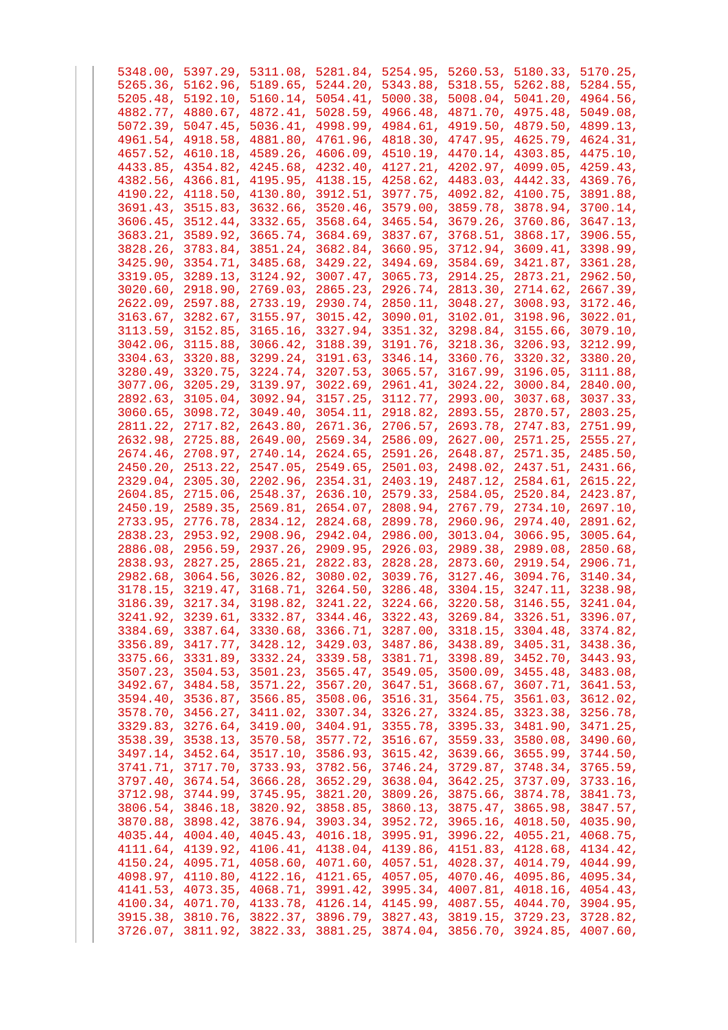| 5348.00, 5397.29, 5311.08, 5281.84, 5254.95, 5260.53, 5180.33, 5170.25,                                                                            |  |  |  |
|----------------------------------------------------------------------------------------------------------------------------------------------------|--|--|--|
| 5265.36, 5162.96, 5189.65, 5244.20, 5343.88, 5318.55, 5262.88, 5284.55,                                                                            |  |  |  |
| 5205.48, 5192.10, 5160.14, 5054.41, 5000.38, 5008.04, 5041.20, 4964.56,                                                                            |  |  |  |
| 4882.77, 4880.67, 4872.41, 5028.59, 4966.48, 4871.70, 4975.48, 5049.08,                                                                            |  |  |  |
| 5072.39, 5047.45, 5036.41, 4998.99, 4984.61, 4919.50, 4879.50, 4899.13,                                                                            |  |  |  |
| 4961.54, 4918.58, 4881.80, 4761.96, 4818.30, 4747.95, 4625.79, 4624.31,                                                                            |  |  |  |
| 4657.52, 4610.18, 4589.26, 4606.09, 4510.19, 4470.14, 4303.85, 4475.10,                                                                            |  |  |  |
| 4433.85, 4354.82, 4245.68, 4232.40, 4127.21, 4202.97, 4099.05, 4259.43,                                                                            |  |  |  |
| 4382.56, 4366.81, 4195.95, 4138.15, 4258.62, 4483.03, 4442.33, 4369.76,                                                                            |  |  |  |
|                                                                                                                                                    |  |  |  |
| 4190.22, 4118.50, 4130.80, 3912.51, 3977.75, 4092.82, 4100.75, 3891.88,                                                                            |  |  |  |
| 3691.43, 3515.83, 3632.66, 3520.46, 3579.00, 3859.78, 3878.94, 3700.14,                                                                            |  |  |  |
| 3606.45, 3512.44, 3332.65, 3568.64, 3465.54, 3679.26, 3760.86, 3647.13,                                                                            |  |  |  |
| 3683.21, 3589.92, 3665.74, 3684.69, 3837.67, 3768.51, 3868.17, 3906.55,                                                                            |  |  |  |
| 3828.26, 3783.84, 3851.24, 3682.84, 3660.95, 3712.94, 3609.41, 3398.99,                                                                            |  |  |  |
| 3425.90, 3354.71, 3485.68, 3429.22, 3494.69, 3584.69, 3421.87, 3361.28,                                                                            |  |  |  |
| 3319.05, 3289.13, 3124.92, 3007.47, 3065.73, 2914.25, 2873.21, 2962.50,                                                                            |  |  |  |
| 3020.60, 2918.90, 2769.03, 2865.23, 2926.74, 2813.30, 2714.62, 2667.39,                                                                            |  |  |  |
| 2622.09, 2597.88, 2733.19, 2930.74, 2850.11, 3048.27, 3008.93, 3172.46,                                                                            |  |  |  |
| 3163.67, 3282.67, 3155.97, 3015.42, 3090.01, 3102.01, 3198.96, 3022.01,                                                                            |  |  |  |
| 3113.59, 3152.85, 3165.16, 3327.94, 3351.32, 3298.84, 3155.66, 3079.10,                                                                            |  |  |  |
| 3042.06, 3115.88, 3066.42, 3188.39, 3191.76, 3218.36, 3206.93, 3212.99,                                                                            |  |  |  |
| 3304.63, 3320.88, 3299.24, 3191.63, 3346.14, 3360.76, 3320.32, 3380.20,                                                                            |  |  |  |
| 3280.49, 3320.75, 3224.74, 3207.53, 3065.57, 3167.99, 3196.05, 3111.88,                                                                            |  |  |  |
| 3077.06, 3205.29, 3139.97, 3022.69, 2961.41, 3024.22, 3000.84, 2840.00,                                                                            |  |  |  |
| 2892.63, 3105.04, 3092.94, 3157.25, 3112.77, 2993.00, 3037.68, 3037.33,                                                                            |  |  |  |
|                                                                                                                                                    |  |  |  |
| 3060.65, 3098.72, 3049.40, 3054.11, 2918.82, 2893.55, 2870.57, 2803.25,                                                                            |  |  |  |
| 2811.22, 2717.82, 2643.80, 2671.36, 2706.57, 2693.78, 2747.83, 2751.99,                                                                            |  |  |  |
| 2632.98, 2725.88, 2649.00, 2569.34, 2586.09, 2627.00, 2571.25, 2555.27,                                                                            |  |  |  |
| 2674.46, 2708.97, 2740.14, 2624.65, 2591.26, 2648.87, 2571.35, 2485.50,                                                                            |  |  |  |
| 2450.20, 2513.22, 2547.05, 2549.65, 2501.03, 2498.02, 2437.51, 2431.66,                                                                            |  |  |  |
| 2329.04, 2305.30, 2202.96, 2354.31, 2403.19, 2487.12, 2584.61, 2615.22,                                                                            |  |  |  |
| 2604.85, 2715.06, 2548.37, 2636.10, 2579.33, 2584.05, 2520.84, 2423.87,                                                                            |  |  |  |
| 2450.19, 2589.35, 2569.81, 2654.07, 2808.94, 2767.79, 2734.10, 2697.10,                                                                            |  |  |  |
| 2733.95, 2776.78, 2834.12, 2824.68, 2899.78, 2960.96, 2974.40, 2891.62,                                                                            |  |  |  |
| 2838.23, 2953.92, 2908.96, 2942.04, 2986.00, 3013.04, 3066.95, 3005.64,                                                                            |  |  |  |
| 2886.08, 2956.59, 2937.26, 2909.95, 2926.03, 2989.38, 2989.08, 2850.68,                                                                            |  |  |  |
| 2838.93, 2827.25, 2865.21, 2822.83, 2828.28, 2873.60, 2919.54, 2906.71,                                                                            |  |  |  |
| 2982.68, 3064.56, 3026.82, 3080.02, 3039.76, 3127.46, 3094.76, 3140.34,                                                                            |  |  |  |
| 3178.15, 3219.47, 3168.71, 3264.50, 3286.48, 3304.15, 3247.11, 3238.98,                                                                            |  |  |  |
| 3186.39, 3217.34, 3198.82, 3241.22, 3224.66, 3220.58, 3146.55, 3241.04,                                                                            |  |  |  |
| 3241.92, 3239.61, 3332.87, 3344.46, 3322.43, 3269.84, 3326.51, 3396.07,                                                                            |  |  |  |
|                                                                                                                                                    |  |  |  |
| 3384.69, 3387.64, 3330.68, 3366.71, 3287.00, 3318.15, 3304.48, 3374.82,                                                                            |  |  |  |
| 3356.89, 3417.77, 3428.12, 3429.03, 3487.86, 3438.89, 3405.31, 3438.36,                                                                            |  |  |  |
| 3375.66, 3331.89, 3332.24, 3339.58, 3381.71, 3398.89, 3452.70, 3443.93,                                                                            |  |  |  |
| 3507.23, 3504.53, 3501.23, 3565.47, 3549.05, 3500.09, 3455.48, 3483.08,                                                                            |  |  |  |
| 3492.67, 3484.58, 3571.22, 3567.20, 3647.51, 3668.67, 3607.71, 3641.53,                                                                            |  |  |  |
| 3594.40, 3536.87, 3566.85, 3508.06, 3516.31, 3564.75, 3561.03, 3612.02,                                                                            |  |  |  |
| 3578.70, 3456.27, 3411.02, 3307.34, 3326.27, 3324.85, 3323.38, 3256.78,                                                                            |  |  |  |
| 3329.83, 3276.64, 3419.00, 3404.91, 3355.78, 3395.33, 3481.90, 3471.25,                                                                            |  |  |  |
| 3538.39, 3538.13, 3570.58, 3577.72, 3516.67, 3559.33, 3580.08, 3490.60,                                                                            |  |  |  |
| 3497.14, 3452.64, 3517.10, 3586.93, 3615.42, 3639.66, 3655.99, 3744.50,                                                                            |  |  |  |
| 3741.71, 3717.70, 3733.93, 3782.56, 3746.24, 3729.87, 3748.34, 3765.59,                                                                            |  |  |  |
| 3797.40, 3674.54, 3666.28, 3652.29, 3638.04, 3642.25, 3737.09, 3733.16,                                                                            |  |  |  |
| 3712.98, 3744.99, 3745.95, 3821.20, 3809.26, 3875.66, 3874.78, 3841.73,                                                                            |  |  |  |
| 3806.54, 3846.18, 3820.92, 3858.85, 3860.13, 3875.47, 3865.98, 3847.57,                                                                            |  |  |  |
| 3870.88, 3898.42, 3876.94, 3903.34, 3952.72, 3965.16, 4018.50, 4035.90,                                                                            |  |  |  |
|                                                                                                                                                    |  |  |  |
| 4035.44, 4004.40, 4045.43, 4016.18, 3995.91, 3996.22, 4055.21, 4068.75,                                                                            |  |  |  |
| 4111.64, 4139.92, 4106.41, 4138.04, 4139.86, 4151.83, 4128.68, 4134.42,                                                                            |  |  |  |
| 4150.24, 4095.71, 4058.60, 4071.60, 4057.51, 4028.37, 4014.79, 4044.99,                                                                            |  |  |  |
|                                                                                                                                                    |  |  |  |
| 4098.97, 4110.80, 4122.16, 4121.65, 4057.05, 4070.46, 4095.86, 4095.34,                                                                            |  |  |  |
| 4141.53, 4073.35, 4068.71, 3991.42, 3995.34, 4007.81, 4018.16, 4054.43,                                                                            |  |  |  |
| 4100.34, 4071.70, 4133.78, 4126.14, 4145.99, 4087.55, 4044.70, 3904.95,                                                                            |  |  |  |
| 3915.38, 3810.76, 3822.37, 3896.79, 3827.43, 3819.15, 3729.23, 3728.82,<br>3726.07, 3811.92, 3822.33, 3881.25, 3874.04, 3856.70, 3924.85, 4007.60, |  |  |  |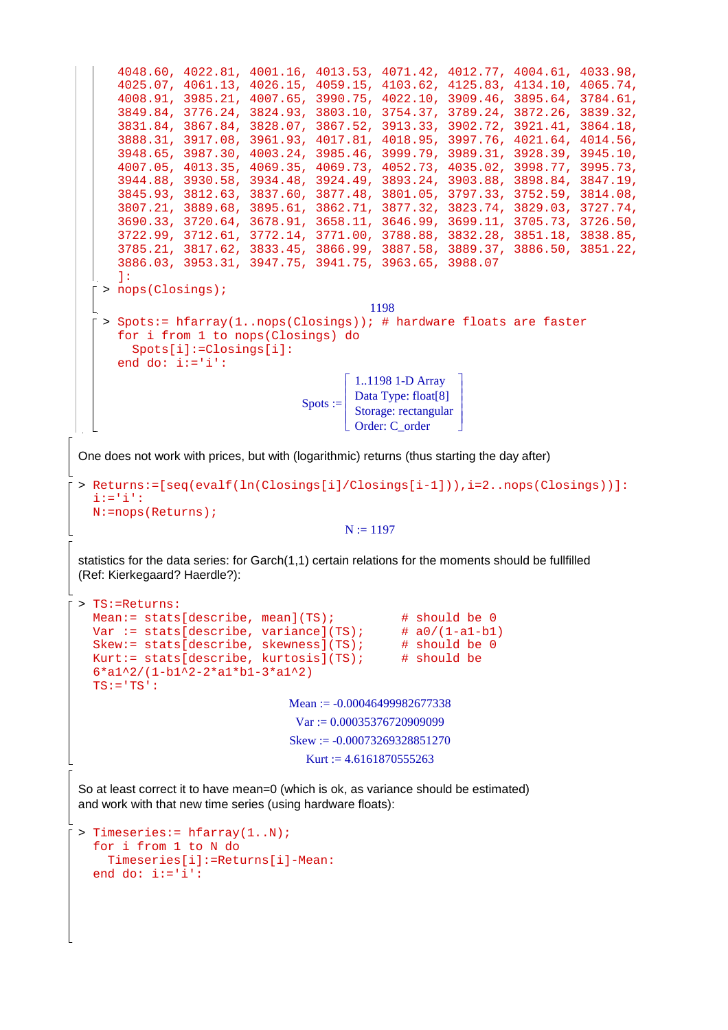```
4048.60, 4022.81, 4001.16, 4013.53, 4071.42, 4012.77, 4004.61, 4033.98, 
      4025.07, 4061.13, 4026.15, 4059.15, 4103.62, 4125.83, 4134.10, 4065.74, 
      4008.91, 3985.21, 4007.65, 3990.75, 4022.10, 3909.46, 3895.64, 3784.61, 
      3849.84, 3776.24, 3824.93, 3803.10, 3754.37, 3789.24, 3872.26, 3839.32, 
      3831.84, 3867.84, 3828.07, 3867.52, 3913.33, 3902.72, 3921.41, 3864.18, 
      3888.31, 3917.08, 3961.93, 4017.81, 4018.95, 3997.76, 4021.64, 4014.56, 
      3948.65, 3987.30, 4003.24, 3985.46, 3999.79, 3989.31, 3928.39, 3945.10, 
      4007.05, 4013.35, 4069.35, 4069.73, 4052.73, 4035.02, 3998.77, 3995.73, 
      3944.88, 3930.58, 3934.48, 3924.49, 3893.24, 3903.88, 3898.84, 3847.19, 
      3845.93, 3812.63, 3837.60, 3877.48, 3801.05, 3797.33, 3752.59, 3814.08, 
      3807.21, 3889.68, 3895.61, 3862.71, 3877.32, 3823.74, 3829.03, 3727.74, 
      3690.33, 3720.64, 3678.91, 3658.11, 3646.99, 3699.11, 3705.73, 3726.50, 
      3722.99, 3712.61, 3772.14, 3771.00, 3788.88, 3832.28, 3851.18, 3838.85, 
      3785.21, 3817.62, 3833.45, 3866.99, 3887.58, 3889.37, 3886.50, 3851.22, 
      3886.03, 3953.31, 3947.75, 3941.75, 3963.65, 3988.07 
      ]:
   > nops(Closings);
                                             1198
   > Spots:= hfarray(1..nops(Closings)); # hardware floats are faster 
      for i from 1 to nops(Closings) do 
         Spots[i]:=Closings[i]: 
      end do: i:='i':
                                   \text{Spots} :=Г
                                         L

                                                           1
                                                           」
                                                           \overline{\phantom{a}}I
                                                           \overline{\phantom{a}}I
                                                           \overline{\phantom{a}} 1..1198 1-D Array 
                                           Data Type: float[8] 
                                           Storage: rectangular 
                                            Order: C_order 
One does not work with prices, but with (logarithmic) returns (thus starting the day after)
> Returns:=[seq(evalf(ln(Closings[i]/Closings[i-1])),i=2..nops(Closings))]: 
  i:='i': 
  N:=nops(Returns);
                                         N := 1197statistics for the data series: for Garch(1,1) certain relations for the moments should be fullfilled 
(Ref: Kierkegaard? Haerdle?):
> TS:=Returns: 
  Mean:= stats[describe, mean](TS); \qquad # should be 0
  Var := stats[describe, variance](TS); \# a0/(1-a1-b1)
  Skew:= stats[describe, skewness](TS); # should be 0
  Kurt:= stats[describe, kurtosis](TS); \# should be
  6*a1^2/(1-b1^2-2*a1*b1-3*a1^2) 
  TS:='TS':Mean := -0.00046499982677338Var := 0.00035376720909099Skew := -0.00073269328851270Kurt := 4.6161870555263So at least correct it to have mean=0 (which is ok, as variance should be estimated)
and work with that new time series (using hardware floats):
> Timeseries:= hfarray(1..N); 
  for i from 1 to N do 
     Timeseries[i]:=Returns[i]-Mean: 
  end do: i:='i':
```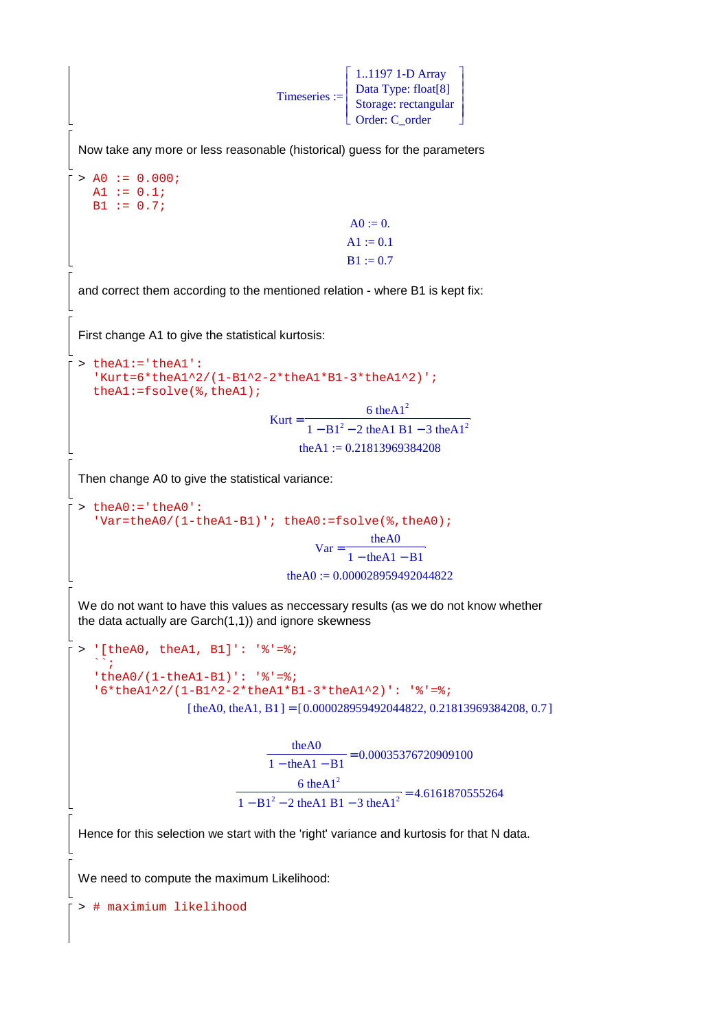$T$ imeseries := Г L L Storage: rectangular ٦ 」  $\overline{\phantom{a}}$  $\overline{\phantom{a}}$  $\overline{\phantom{a}}$ I  $\overline{\phantom{a}}$  1..1197 1-D Array Data Type: float[8] Order: C\_order Now take any more or less reasonable (historical) guess for the parameters  $> \text{A0} := 0.000$ ; A1 :=  $0.1$ ;  $B1 := 0.7$ ;  $A0 := 0.$  $A1 := 0.1$  $B1 := 0.7$ and correct them according to the mentioned relation - where B1 is kept fix: First change A1 to give the statistical kurtosis: > theA1:='theA1': 'Kurt=6\*theA1^2/(1-B1^2-2\*theA1\*B1-3\*theA1^2)'; theA1:=fsolve(%,theA1); Kurt =  $\frac{6 \text{ the } Al^2}{2 \text{ cm}^2}$  $1 - B1<sup>2</sup> - 2$  the A1 B1 – 3 the A1<sup>2</sup> theA1 :=  $0.21813969384208$ Then change A0 to give the statistical variance:  $\gt$  theA0: = 'theA0': 'Var=theA0/(1-theA1-B1)'; theA0:=fsolve(%,theA0);  $Var =$ theA0  $1 - \text{theA1} - \text{B1}$ theA0 :=  $0.000028959492044822$ We do not want to have this values as neccessary results (as we do not know whether the data actually are Garch(1,1)) and ignore skewness > '[theA0, theA1, B1]': '%'=%;  $\mathbb{S}^1$  ; 'theA0/(1-theA1-B1)': '%'=%; '6\*theA1^2/(1-B1^2-2\*theA1\*B1-3\*theA1^2)': '%'=%;  $[$  theA0, theA1, B1  $] = [0.000028959492044822, 0.21813969384208, 0.7]$  $\frac{\text{theA0}}{\text{thA} + \text{B1}}$  =  $\overline{1 - \text{theA1} - \text{B1}}$  = 0.00035376720909100  $\frac{6 \text{ theAl}^2}{(1 + 1) \text{ ft}^2 + (1 + 1) \text{ ft}^2} =$  $1 - B1^2 - 2$  theA1 B1 – 3 theA1<sup>2</sup> = 4.6161870555264 Hence for this selection we start with the 'right' variance and kurtosis for that N data. We need to compute the maximum Likelihood: > # maximium likelihood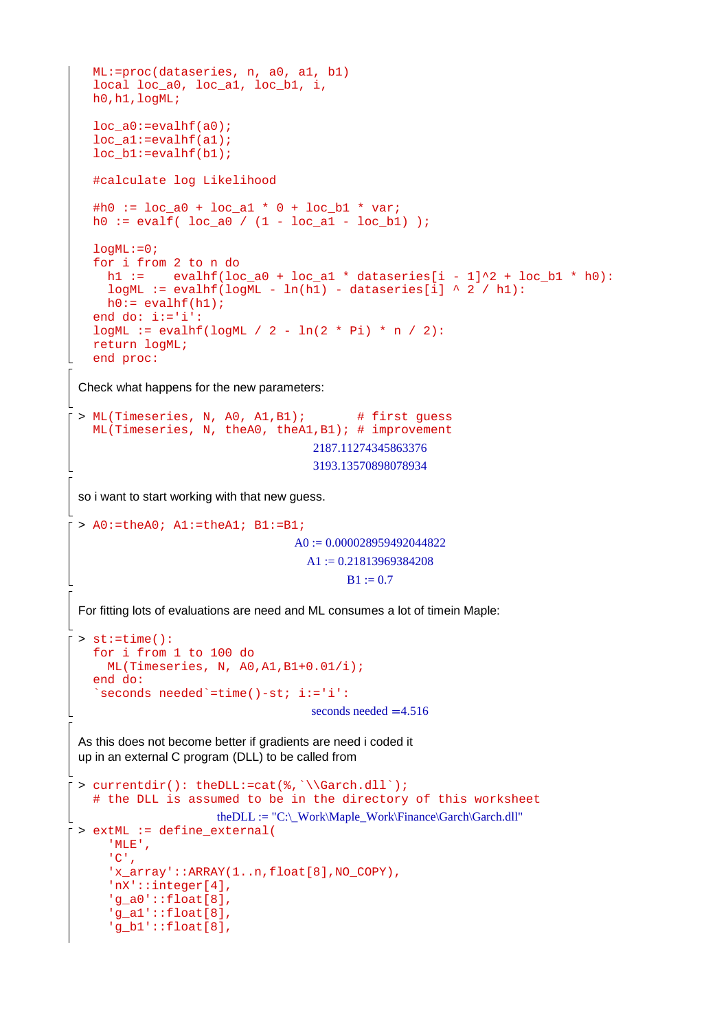```
ML:=proc(dataseries, n, a0, a1, b1) 
  local loc a0, loc a1, loc b1, i,
  h0,h1,logML; 
  loc_a0:=evalhf(a0); 
  loc_a1:=evalhf(a1); 
  loc_b1:=evalhf(b1); 
  #calculate log Likelihood 
  #h0 := loc_a0 + loc_a1 * 0 + loc_b1 * var;h0 := evalf( loc_a 0 / (1 - loc_a 1 - loc_b 1) );
  logML := 0;for i from 2 to n do 
    h1 := evalhf(loc_a0 + loc_a1 * dataseries[i - 1]^2 + loc_b1 * h0):
    logML := evalhf(logML - ln(h1) - dataseries[i] ^ 2 / h1:
    h0:= evalhf(h1);
  end do: i:='i': 
  logML := evalhf(logML / 2 - ln(2 * Pi) * n / 2):return logML; 
  end proc:
Check what happens for the new parameters:
> ML(Timeseries, N, A0, A1, B1); # first guess
  ML(Timeseries, N, theA0, theA1,B1); # improvement
                                   2187.11274345863376
                                    3193.13570898078934
so i want to start working with that new guess.
> A0:=theA0; A1:=theA1; B1:=B1;
                                 A0 := 0.000028959492044822A1 := 0.21813969384208B1 := 0.7For fitting lots of evaluations are need and ML consumes a lot of timein Maple: 
> st:=time():
  for i from 1 to 100 do 
     ML(Timeseries, N, A0,A1,B1+0.01/i); 
  end do: 
   `seconds needed`=time()-st; i:='i':
                                   seconds needed = 4.516As this does not become better if gradients are need i coded it
up in an external C program (DLL) to be called from
> currentdir(): theDLL:=cat(%,`\\Garch.dll`); 
  # the DLL is assumed to be in the directory of this worksheet
                     theDLL := "C:\_Work\Maple_Work\Finance\Garch\Garch.dll"
> extML := define_external( 
     'MLE', 
      'C', 
     'x_array'::ARRAY(1..n,float[8],NO_COPY), 
     'nX'::integer[4], 
     'g_a0'::float[8], 
     'g_a1'::float[8], 
     'g_b1'::float[8],
```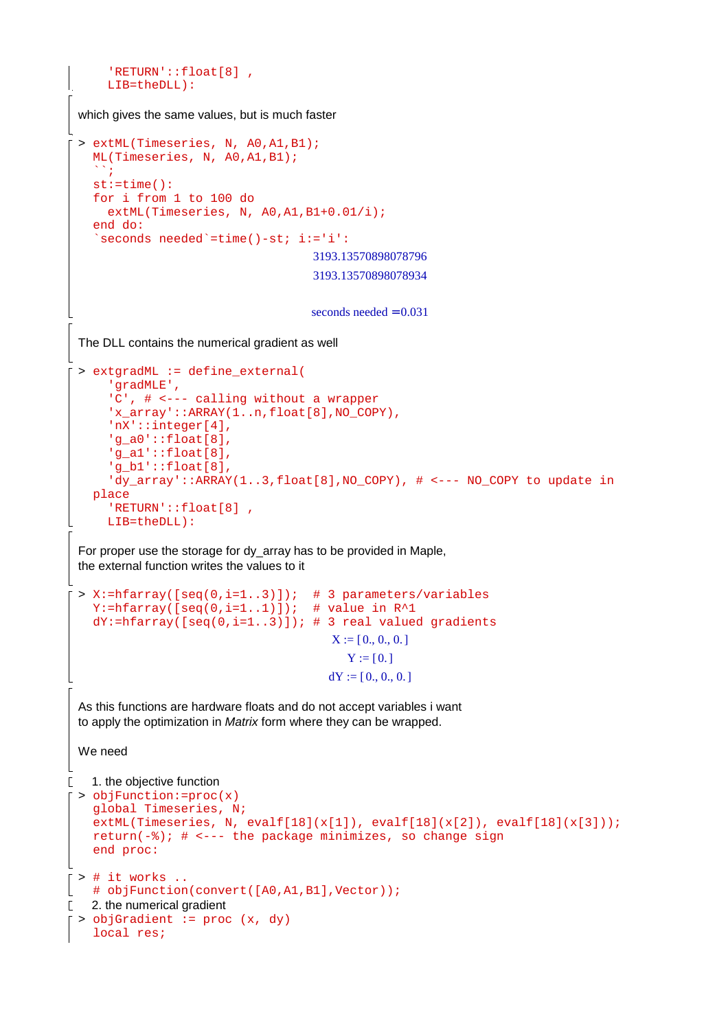```
 'RETURN'::float[8] , 
       LIB=theDLL):
 which gives the same values, but is much faster
 > extML(Timeseries, N, A0,A1,B1); 
    ML(Timeseries, N, A0,A1,B1); 
    \mathbb{R}_{\geq 0}st:=time(): 
    for i from 1 to 100 do 
      extML(Timeseries, N, A0, A1, B1+0.01/i);
    end do: 
    `seconds needed`=time()-st; i:='i':
                                       3193.13570898078796
                                       3193.13570898078934
                                       seconds needed = 0.031The DLL contains the numerical gradient as well
 > extgradML := define_external( 
       'gradMLE', 
       'C', # <--- calling without a wrapper 
       'x_array'::ARRAY(1..n,float[8],NO_COPY), 
       'nX'::integer[4], 
       'g_a0'::float[8], 
       'g_a1'::float[8], 
       'g_b1'::float[8], 
      'dy array'::ARRAY(1..3,float[8],NO COPY), # <--- NO COPY to update in
    place 
       'RETURN'::float[8] , 
       LIB=theDLL):
 For proper use the storage for dy_array has to be provided in Maple,
 the external function writes the values to it
 > X:=hfarray([seq(0,i=1..3)]); # 3 parameters/variables 
    Y:=hfarray([seq(0,i=1..1)]); # value in R^1dY:=hfarray([seq(0,i=1..3)]); # 3 real valued gradientsX := [0., 0., 0.]Y := [0.]dY := [0., 0., 0.]As this functions are hardware floats and do not accept variables i want
 to apply the optimization in Matrix form where they can be wrapped.
 We need
\Gamma 1. the objective function
 > objFunction:=proc(x) 
    global Timeseries, N; 
    extML(Timeseries, N, evalf[18](x[1]), evalf[18](x[2]), evalf[18](x[3])); 
    return(-%); # <--- the package minimizes, so change sign
    end proc: 
 > # it works .. 
   # objFunction(convert([A0,A1,B1],Vector));
\Gamma 2. the numerical gradient
 > objGradient := proc (x, dy) 
    local res;
```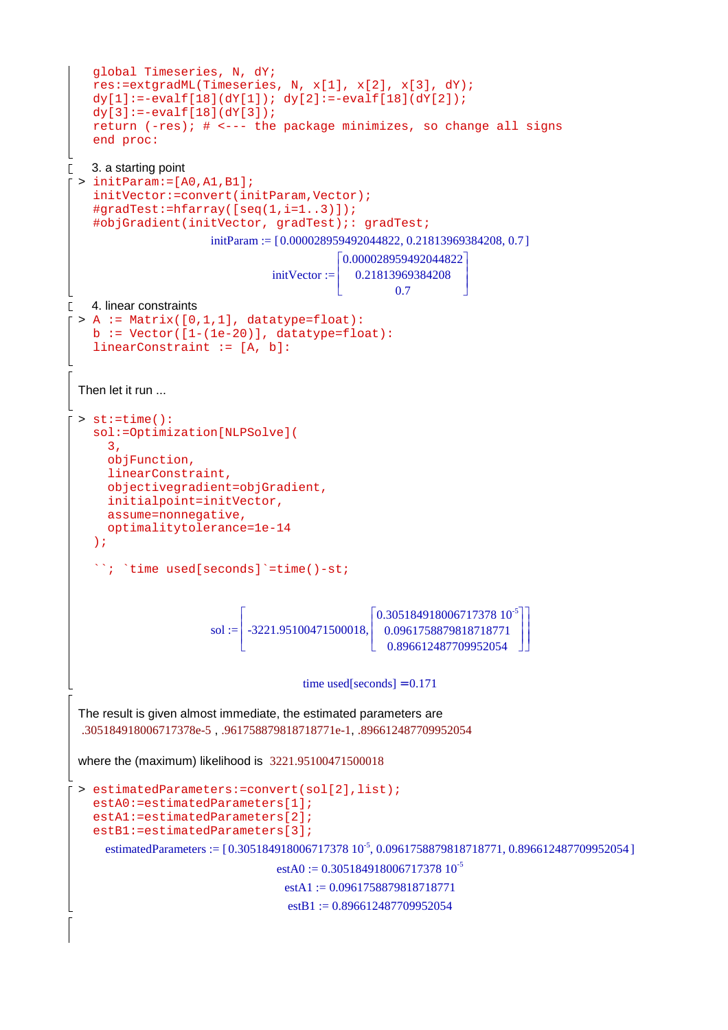```
global Timeseries, N, dY; 
    res:=extgradML(Timeseries, N, x[1], x[2], x[3], dY); 
    dy[1]:=-evalf[18](dY[1]); dy[2]:=-evalf[18](dY[2]);
    dy[3] := -evalf[18](dY[3]);return (-res); # <--- the package minimizes, so change all signs 
    end proc: 
    3. a starting point
\Gamma> initParam:=[A0,A1,B1]; 
    initVector:=convert(initParam,Vector); 
    \#gradTest:=hfarray([seq(1,i=1..3)]);#objGradient(initVector, gradTest);: gradTest;
                         initParam := [0.000028959492044822, 0.21813969384208, 0.7]\left[0.000028959492044822\right]L
                                                   0.21813969384208
                                                                       \overline{\phantom{a}}initVector := 
                                                 L
                                                                       \overline{\phantom{a}}L
                                                           0.7
                                                                       J
\Gamma 4. linear constraints
 > A := Matrix([0,1,1], datatype=float):b := Vector([1-(1e-20)], data type = float):linearConstraint := [A, b]: 
  Then let it run ...
 > st:=time():
    sol:=Optimization[NLPSolve]( 
        3, 
        objFunction, 
        linearConstraint, 
        objectivegradient=objGradient, 
        initialpoint=initVector, 
        assume=nonnegative, 
        optimalitytolerance=1e-14 
    ); 
    ``; `time used[seconds]`=time()-st; 
                               Г
                                                       \left[0.30518491800671737810^{5}\right]1

-3221.95100471500018,
                                                       L
                                                                                  \overline{\phantom{a}}\mathbf{r}I
                                                                                  \overline{\phantom{a}}0.0961758879818718771
                          \text{sol} \coloneqq\mathsf{I}\overline{\phantom{a}}\overline{\phantom{a}}L
                                                       L
                                                                                 」
                                                                                  J
                                                         0.896612487709952054
                                          time used[seconds] = 0.171The result is given almost immediate, the estimated parameters are
  .305184918006717378e-5 , .961758879818718771e-1, .896612487709952054 
 where the (maximum) likelihood is 3221.95100471500018 
 > estimatedParameters:=convert(sol[2],list); 
    estA0:=estimatedParameters[1];
    estA1:=estimatedParameters[2];
    estB1:=estimatedParameters[3];
       estimatedParameters := [0.305184918006717378 10^{-5}, 0.0961758879818718771, 0.896612487709952054]estA0 := 0.30518491800671737810^{-5}estA1 := 0.0961758879818718771estB1 := 0.896612487709952054
```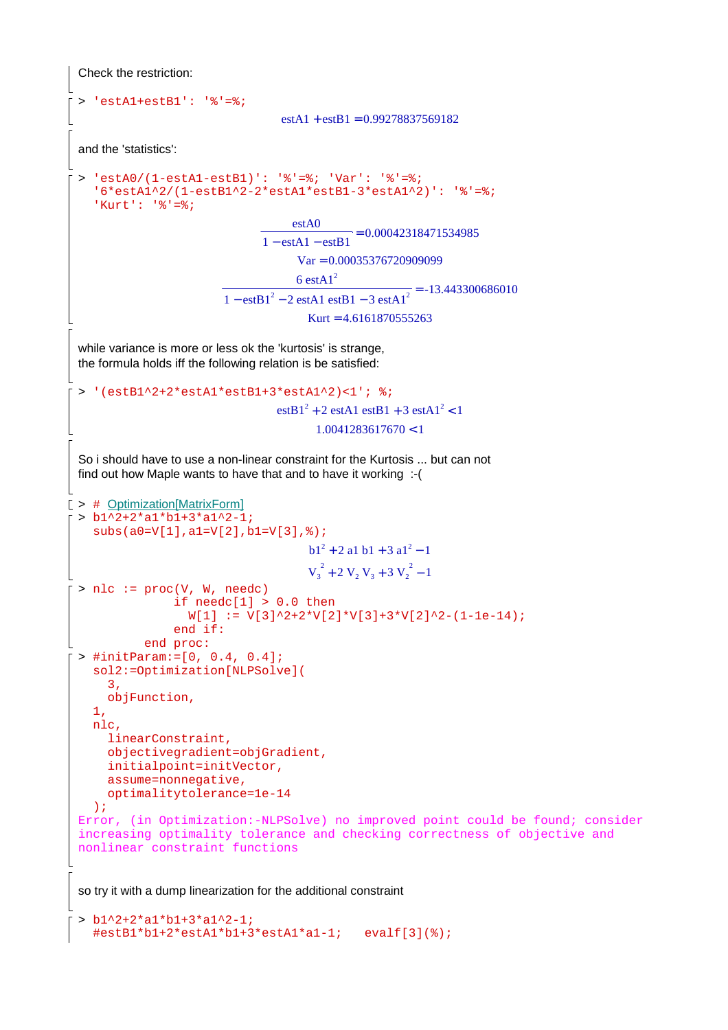```
Check the restriction:
  > 'estA1+estB1': '%'=%;
                                    estA1 + estB1 = 0.99278837569182and the 'statistics':
  > 'estA0/(1-estA1-estB1)': '%'=%; 'Var': '%'=%; 
    16*estA1^2/(1-estB1^2-2*estA1*estB1-3*estA1^2)': '%'=%;
    'Kurt': '%'=%;
                                       \frac{\text{estA0}}{\text{det A}} =\overline{1 - \text{estA1} - \text{estB1}} = 0.00042318471534985Var = 0.00035376720909099 = 
                                       6 estAl^21 - \text{estB1}^2 - 2 \text{ estA1 estB1} - 3 \text{ estA1}^2 = -13.443300686010Kurt = 4.6161870555263while variance is more or less ok the 'kurtosis' is strange,
 the formula holds iff the following relation is be satisfied:
 > '(estB1^2+2*estA1*estB1+3*estA1^2)<1'; %;
                                     estB1<sup>2</sup> + 2 estA1 estB1 + 3 estA1<sup>2</sup> < 11.0041283617670 < 1So i should have to use a non-linear constraint for the Kurtosis ... but can not
 find out how Maple wants to have that and to have it working :-(
[ > # Optimization[MatrixForm]
 > b1^2+2*a1*b1+3*a1^2-1; 
    subs(a0=V[1],a1=V[2],b1=V[3],%);
                                          b1^2 + 2 al b1 + 3 al<sup>2</sup> - 1
                                          V_3^2 + 2 V_2 V_3 + 3 V_2^2 - 1> nlc := proc(V, W, needc)if needc[1] > 0.0 then
                    W[1] := V[3]^2+2*V[2]*V[3]+3*V[2]^2-(1-1e-14); end if: 
              end proc:
 > #initParam:=[0, 0.4, 0.4]; 
    sol2:=Optimization[NLPSolve]( 
       3, 
        objFunction, 
    1, 
    nlc, 
       linearConstraint, 
       objectivegradient=objGradient, 
       initialpoint=initVector, 
       assume=nonnegative, 
       optimalitytolerance=1e-14 
    );
 Error, (in Optimization:-NLPSolve) no improved point could be found; consider 
 increasing optimality tolerance and checking correctness of objective and 
 nonlinear constraint functions 
 so try it with a dump linearization for the additional constraint
```

```
> b1^2+2*a1*b1+3*a1^2-1; 
 #estB1*b1+2*estA1*b1+3*estA1*a1-1; evalf[3](%);
```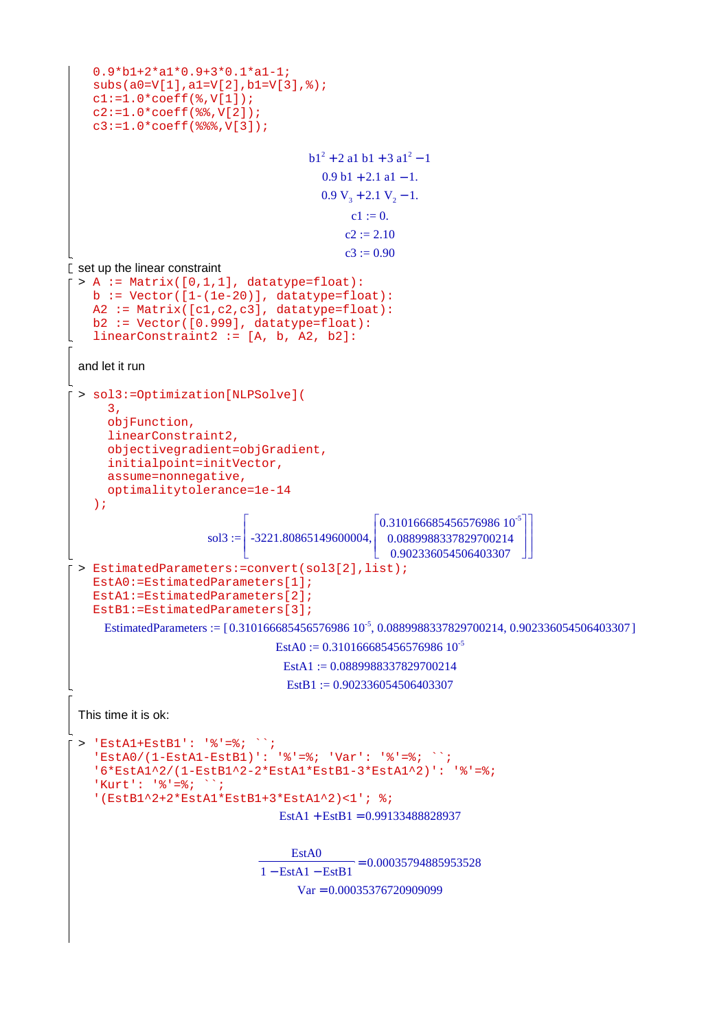```
0.9*b1+2*a1*0.9+3*0.1*a1-1; 
    subs(a0=V[1],a1=V[2],b1=V[3],%); 
    cl:=1.0*coeff(*,V[1]);c2:=1.0*coeff(%%,V[2]); 
    c3:=1.0*coeff(%%%,V[3]); 
                                         b1^2 + 2 al b1 + 3 al<sup>2</sup> - 1
                                           0.9 b1 + 2.1 a1 - 1.0.9 V_3 + 2.1 V_2 - 1.c1 := 0.c2 := 2.10c3 := 0.90\mathbf{r} set up the linear constraint
 > A := Matrix([0,1,1], datatype=float):b := Vector([1-(1e-20)], datatype=float):A2 := Matrix([c1,c2,c3], datatype=float): 
    b2 := Vector([0.999], datatype=float): 
    linearConstruct := [A, b, A2, b2]:and let it run
 > sol3:=Optimization[NLPSolve]( 
       3, 
       objFunction, 
       linearConstraint2, 
       objectivegradient=objGradient, 
       initialpoint=initVector, 
       assume=nonnegative, 
       optimalitytolerance=1e-14 
    );
                       sol3 :=Г
                              L

-3221.80865149600004,
                                                                              ٦
                                                                              」
                                                                              I
                                                                              I
                                                                              \overline{\phantom{a}}\bigg[0.310166685456576986\ 10^{-5}\L
                                                    L
                                                    I
                                                                             ٦
                                                                             」
                                                                             I
                                                                             \overline{\phantom{a}}\overline{\phantom{a}}0.0889988337829700214
                                                      0.902336054506403307
 > EstimatedParameters:=convert(sol3[2],list); 
    EstA0:=EstimatedParameters[1]; 
    EstA1:=EstimatedParameters[2]; 
    EstB1:=EstimatedParameters[3];
      EstimatedParameters := [0.310166685456576986 10<sup>-5</sup>, 0.0889988337829700214, 0.902336054506403307]
                                   EstA0 := 0.31016668545657698610^{-5}Est A1 := 0.0889988337829700214\text{EstB1} := 0.902336054506403307This time it is ok:
 > 'EstA1+EstB1': '%'=%; ``; 
    'EstA0/(1-EstA1-EstB1)': '%'=%; 'Var': '%'=%; ``; 
    '6*EstA1^2/(1-EstB1^2-2*EstA1*EstB1-3*EstA1^2)': '%'=%; 
    'Kurt': '%'=%;    ``;
    '(EstB1^2+2*EstA1*EstB1+3*EstA1^2)<1'; %;
                                   EstA1 + EstB1 = 0.99133488828937= 0.00035794885953528EstA0
                                1 - EstA1 - EstB1Var = 0.00035376720909099
```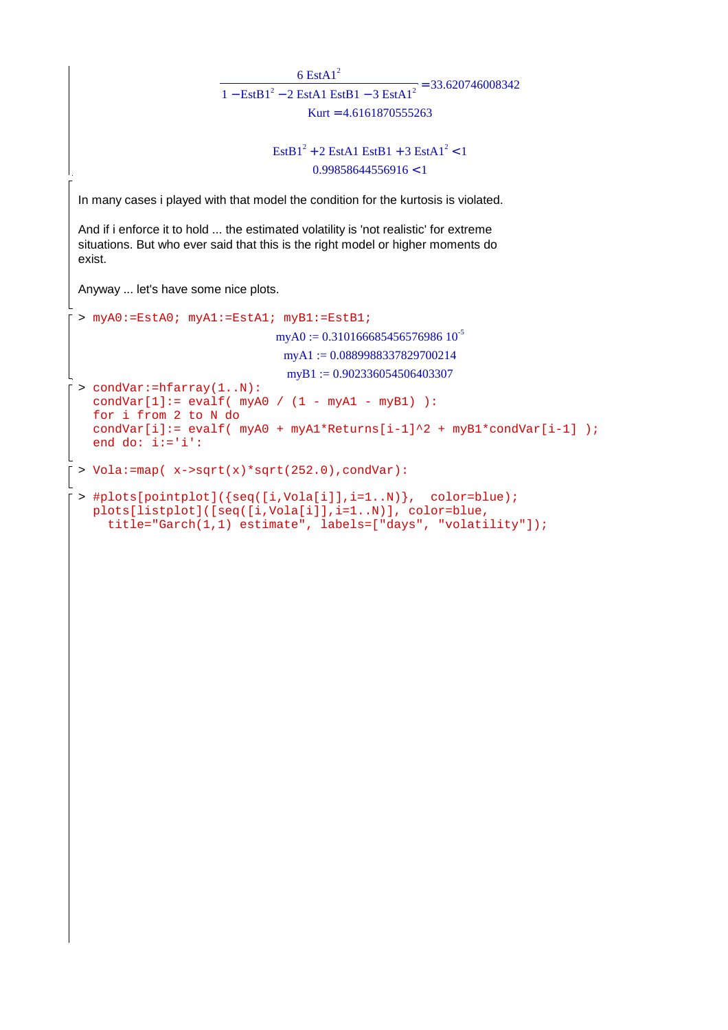```
= 33.6207460083426 EstA1^21 - \text{EstB1}^2 - 2 \text{EstA1} \text{EstB1} - 3 \text{EstA1}^2Kurt = 4.6161870555263\text{EstB1}^2 + 2 \text{ EstA1} \text{EstB1} + 3 \text{EstA1}^2 < 10.99858644556916 < 1In many cases i played with that model the condition for the kurtosis is violated. 
And if i enforce it to hold ... the estimated volatility is 'not realistic' for extreme
situations. But who ever said that this is the right model or higher moments do
exist.
Anyway ... let's have some nice plots.
> myA0:=EstA0; myA1:=EstA1; myB1:=EstB1;
                                  myA0 := 0.31016668545657698610^{-5}myA1 := 0.0889988337829700214myB1 := 0.902336054506403307> condVar:=hfarray(1..N): 
   condVar[1]: = evalf( myA0 / (1 - myA1 - myB1)):
   for i from 2 to N do 
   condVar[i]:= evalf( myA0 + myA1*Returns[i-1]^2 + myB1*condVar[i-1] );
   end do: i:='i': 
> Vola:=map( x->sqrt(x)*sqrt(252.0),condVar): 
> #plots[pointplot]({seq([i,Vola[i]],i=1..N)}, color=blue); 
  plots[listplot]([seq([i,Vola[i]],i=1..N)], color=blue, 
      title="Garch(1,1) estimate", labels=["days", "volatility"]);
```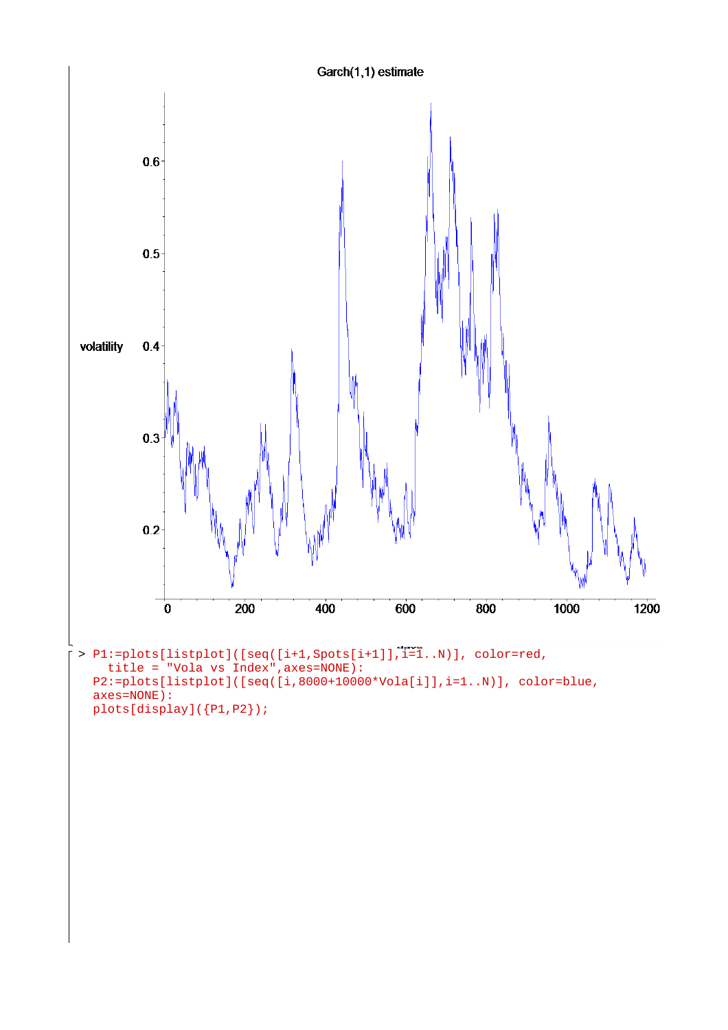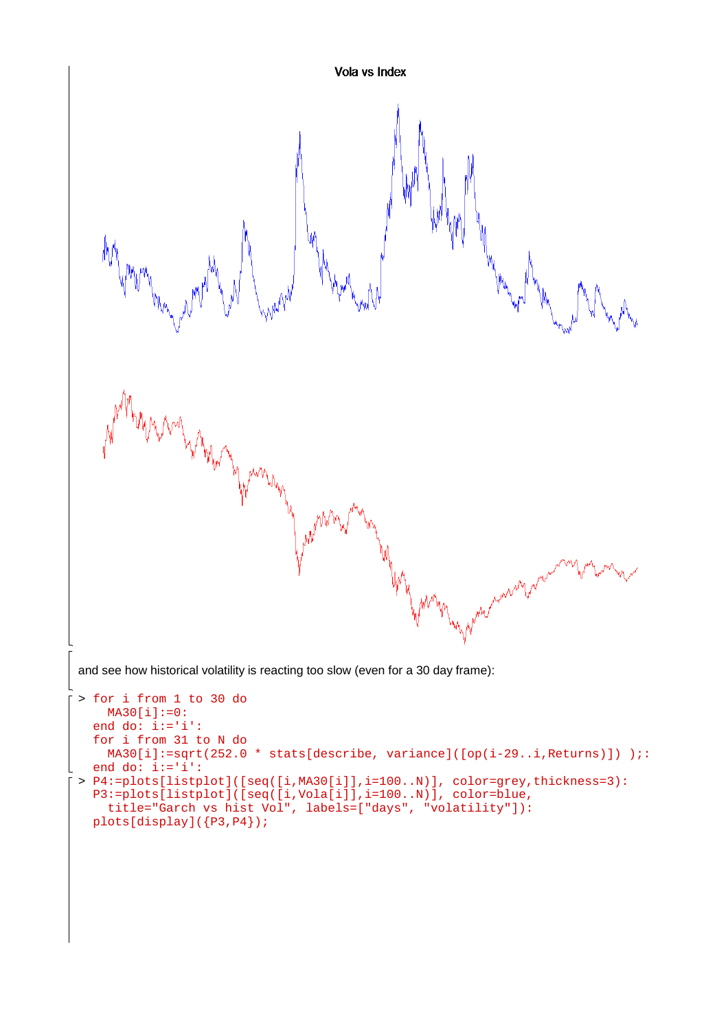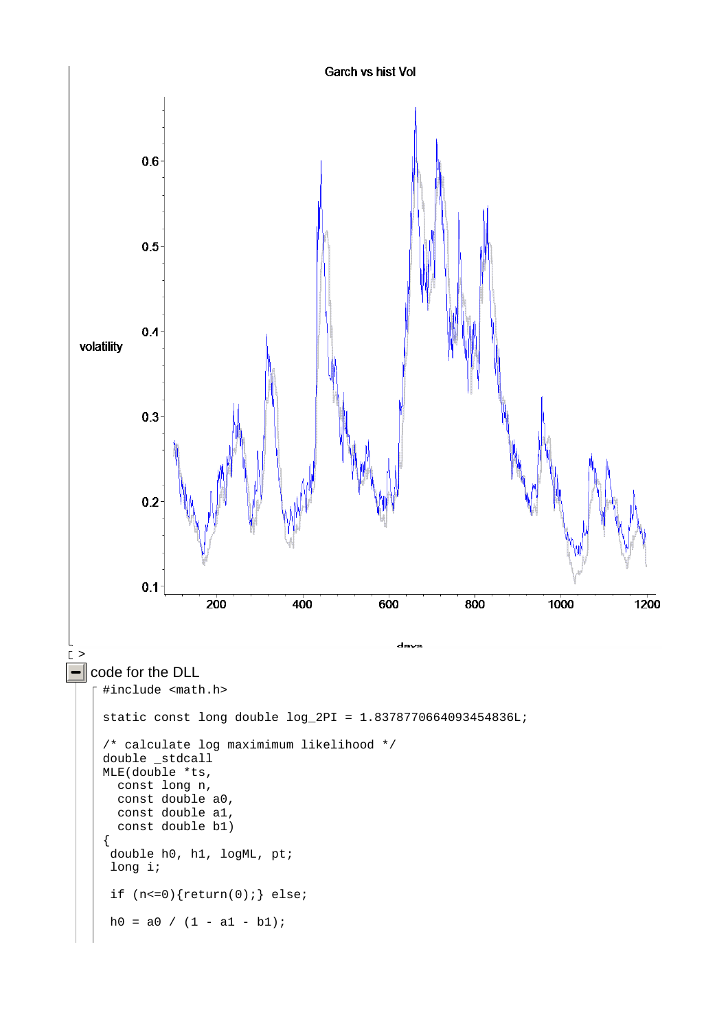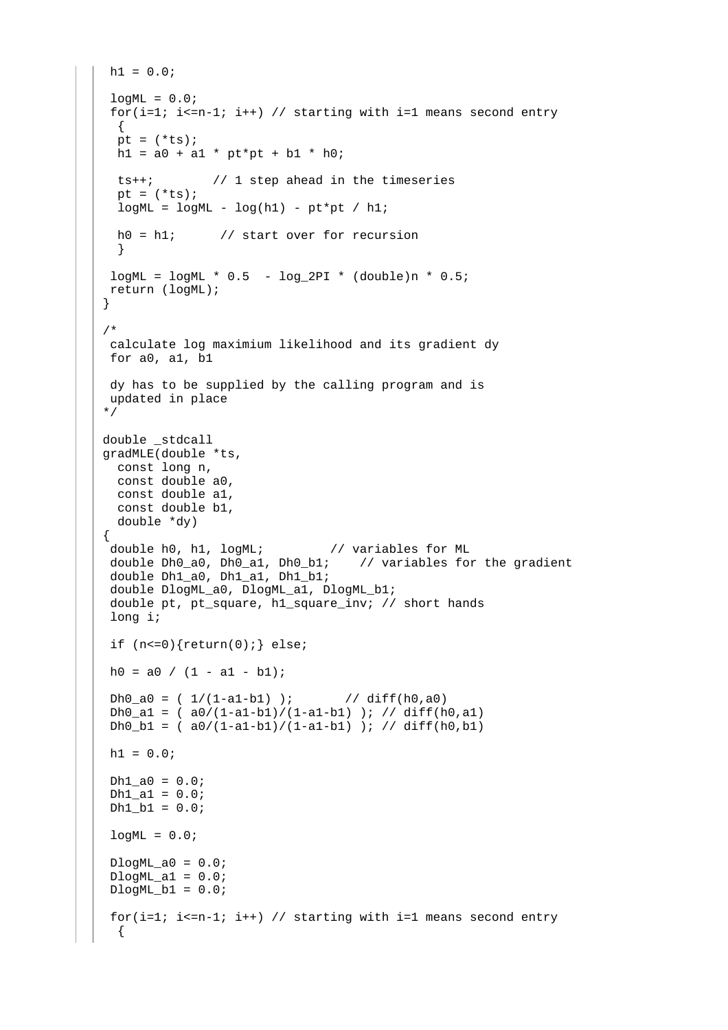```
h1 = 0.0;logML = 0.0;
 for(i=1; i<=n-1; i++) // starting with i=1 means second entry
   { 
 pt = (*ts);
 h1 = a0 + a1 * pt * pt + b1 * h0; ts++; // 1 step ahead in the timeseries 
 pt = (*ts);
  logML = logML - log(h1) - pt*pt / hl;
 h0 = h1; // start over for recursion
   } 
logML = logML * 0.5 - log_2PI * (double)n * 0.5;
 return (logML); 
} 
/* 
 calculate log maximium likelihood and its gradient dy 
 for a0, a1, b1 
 dy has to be supplied by the calling program and is 
 updated in place 
*/ 
double _stdcall 
gradMLE(double *ts, 
  const long n, 
  const double a0, 
  const double a1, 
  const double b1, 
  double *dy) 
{ 
 double h0, h1, logML; // variables for ML 
 double Dh0_a0, Dh0_a1, Dh0_b1; // variables for the gradient 
  double Dh1_a0, Dh1_a1, Dh1_b1; 
  double DlogML_a0, DlogML_a1, DlogML_b1; 
 double pt, pt square, h1 square inv; // short hands
  long i; 
 if (n<=0) {return(0); } else;
h0 = a0 / (1 - a1 - b1);
 Dh0_a0 = (1/(1-a1-b1) ); // diff(h0,a0)
 Dh0 a1 = (a0/(1-a1-b1)/(1-a1-b1)) ; // diff(h0,a1)
 Dh0_b1 = (a0/(1-a1-b1)/(1-a1-b1) ); //diff(h0,b1)
h1 = 0.0;Dh1_a0 = 0.0;Dh1_a1 = 0.0;Dh1_b1 = 0.0;logML = 0.0;DlogML_a0 = 0.0;DlogML_a1 = 0.0;DlogML_b1 = 0.0;for(i=1; i<=n-1; i++) // starting with i=1 means second entry
   {
```